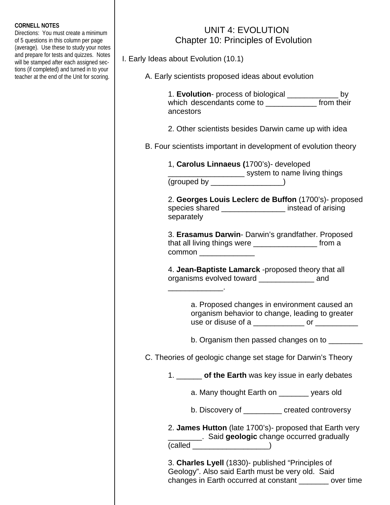## **CORNELL NOTES**

Directions: You must create a minimum of 5 questions in this column per page (average). Use these to study your notes and prepare for tests and quizzes. Notes will be stamped after each assigned sections (if completed) and turned in to your teacher at the end of the Unit for scoring.

## UNIT 4: EVOLUTION Chapter 10: Principles of Evolution

I. Early Ideas about Evolution (10.1)

 $\mathcal{L}_\text{max}$  and  $\mathcal{L}_\text{max}$  and  $\mathcal{L}_\text{max}$  and  $\mathcal{L}_\text{max}$ 

A. Early scientists proposed ideas about evolution

 1. **Evolution**- process of biological \_\_\_\_\_\_\_\_\_\_\_\_ by which descendants come to **which** descendants come to **which** from their ancestors

2. Other scientists besides Darwin came up with idea

B. Four scientists important in development of evolution theory

 1, **Carolus Linnaeus (**1700's)- developed **EXECUTE:** System to name living things (grouped by \_\_\_\_\_\_\_\_\_\_\_\_\_\_\_\_\_)

> 2. **Georges Louis Leclerc de Buffon** (1700's)- proposed species shared **Exercise Shared instead of arising** separately

 3. **Erasamus Darwin**- Darwin's grandfather. Proposed that all living things were \_\_\_\_\_\_\_\_\_\_\_\_\_\_\_ from a common **common** 

 4. **Jean-Baptiste Lamarck** -proposed theory that all organisms evolved toward \_\_\_\_\_\_\_\_\_\_\_\_\_ and

> a. Proposed changes in environment caused an organism behavior to change, leading to greater use or disuse of a  $\qquad \qquad \qquad$  or  $\qquad \qquad$

b. Organism then passed changes on to \_\_\_\_\_\_\_\_

C. Theories of geologic change set stage for Darwin's Theory

1. \_\_\_\_\_\_ **of the Earth** was key issue in early debates

a. Many thought Earth on \_\_\_\_\_\_\_ years old

b. Discovery of \_\_\_\_\_\_\_\_\_ created controversy

 2. **James Hutton** (late 1700's)- proposed that Earth very \_\_\_\_\_\_\_\_. Said **geologic** change occurred gradually  $\left(\text{called } \_\_\_\_\_\_\_\_\_\\right)$ 

> 3. **Charles Lyell** (1830)- published "Principles of Geology". Also said Earth must be very old. Said changes in Earth occurred at constant \_\_\_\_\_\_\_ over time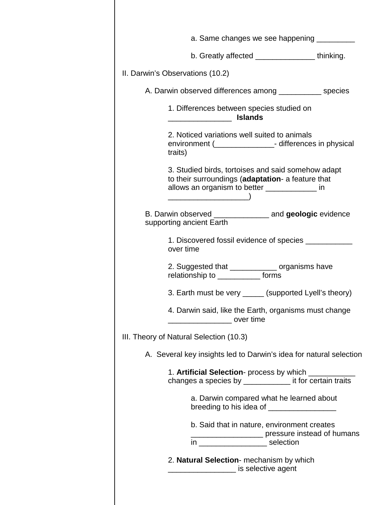|                                         |                                                                                                                                                           | a. Same changes we see happening _________                                                                      |
|-----------------------------------------|-----------------------------------------------------------------------------------------------------------------------------------------------------------|-----------------------------------------------------------------------------------------------------------------|
|                                         |                                                                                                                                                           | b. Greatly affected _______________thinking.                                                                    |
| II. Darwin's Observations (10.2)        |                                                                                                                                                           |                                                                                                                 |
|                                         |                                                                                                                                                           | A. Darwin observed differences among ____________ species                                                       |
| <u> 1990 - Johann Barbara, martin a</u> | 1. Differences between species studied on<br><b>Islands</b>                                                                                               |                                                                                                                 |
| traits)                                 | 2. Noticed variations well suited to animals                                                                                                              | environment (__________________- differences in physical                                                        |
|                                         | 3. Studied birds, tortoises and said somehow adapt<br>to their surroundings (adaptation- a feature that<br>allows an organism to better ______________ in |                                                                                                                 |
| supporting ancient Earth                |                                                                                                                                                           |                                                                                                                 |
| over time                               |                                                                                                                                                           | 1. Discovered fossil evidence of species ____________                                                           |
|                                         | 2. Suggested that _____________ organisms have<br>relationship to ______________ forms                                                                    |                                                                                                                 |
|                                         |                                                                                                                                                           | 3. Earth must be very ______ (supported Lyell's theory)                                                         |
| <u>___________________</u> over time    |                                                                                                                                                           | 4. Darwin said, like the Earth, organisms must change                                                           |
| III. Theory of Natural Selection (10.3) |                                                                                                                                                           |                                                                                                                 |
|                                         |                                                                                                                                                           | A. Several key insights led to Darwin's idea for natural selection                                              |
|                                         |                                                                                                                                                           | 1. Artificial Selection- process by which _________<br>changes a species by _____________ it for certain traits |
|                                         | a. Darwin compared what he learned about<br>breeding to his idea of __________________                                                                    |                                                                                                                 |
|                                         | b. Said that in nature, environment creates                                                                                                               | Dessure instead of humans                                                                                       |
|                                         | 2. Natural Selection- mechanism by which<br>is selective agent                                                                                            |                                                                                                                 |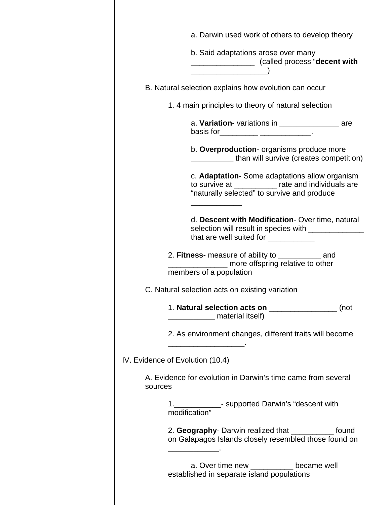|                                                 | a. Darwin used work of others to develop theory                                                                                                    |  |  |  |
|-------------------------------------------------|----------------------------------------------------------------------------------------------------------------------------------------------------|--|--|--|
|                                                 | b. Said adaptations arose over many<br>____________________ (called process "decent with                                                           |  |  |  |
|                                                 |                                                                                                                                                    |  |  |  |
|                                                 | B. Natural selection explains how evolution can occur                                                                                              |  |  |  |
|                                                 | 1.4 main principles to theory of natural selection                                                                                                 |  |  |  |
|                                                 | a. Variation-variations in ______________________ are<br>basis for___________ ____________.                                                        |  |  |  |
|                                                 | b. Overproduction- organisms produce more<br>than will survive (creates competition)                                                               |  |  |  |
|                                                 | c. Adaptation- Some adaptations allow organism<br>to survive at __________ rate and individuals are<br>"naturally selected" to survive and produce |  |  |  |
|                                                 | d. Descent with Modification- Over time, natural<br>selection will result in species with ________________<br>that are well suited for ___________ |  |  |  |
|                                                 | 2. Fitness- measure of ability to ____________ and<br>______ more offspring relative to other<br>members of a population                           |  |  |  |
| C. Natural selection acts on existing variation |                                                                                                                                                    |  |  |  |
|                                                 | 1. Natural selection acts on __________________ (not<br>material itself)                                                                           |  |  |  |
|                                                 | 2. As environment changes, different traits will become                                                                                            |  |  |  |
| IV. Evidence of Evolution (10.4)                |                                                                                                                                                    |  |  |  |
| sources                                         | A. Evidence for evolution in Darwin's time came from several                                                                                       |  |  |  |
|                                                 | 1. ______________- supported Darwin's "descent with<br>modification"                                                                               |  |  |  |
|                                                 | 2. Geography- Darwin realized that ____________ found<br>on Galapagos Islands closely resembled those found on                                     |  |  |  |
|                                                 | a. Over time new __________ became well<br>established in separate island populations                                                              |  |  |  |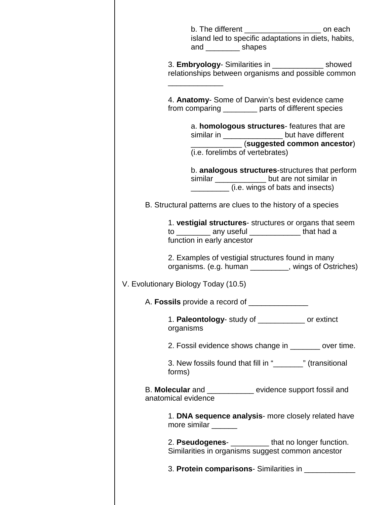| b. The different $\frac{1}{\sqrt{1-\frac{1}{2}}}\sqrt{1-\frac{1}{2}}$ on each<br>island led to specific adaptations in diets, habits,<br>and ___________ shapes    |  |  |  |
|--------------------------------------------------------------------------------------------------------------------------------------------------------------------|--|--|--|
| 3. Embryology- Similarities in _______________ showed<br>relationships between organisms and possible common                                                       |  |  |  |
| 4. Anatomy- Some of Darwin's best evidence came<br>from comparing _________ parts of different species                                                             |  |  |  |
| a. homologous structures-features that are<br>similar in ____________________ but have different<br>(suggested common ancestor)<br>(i.e. forelimbs of vertebrates) |  |  |  |
| b. analogous structures-structures that perform<br>similar _____________ but are not similar in<br>(i.e. wings of bats and insects)                                |  |  |  |
| B. Structural patterns are clues to the history of a species                                                                                                       |  |  |  |
| 1. vestigial structures- structures or organs that seem<br>to __________ any useful ______________ that had a<br>function in early ancestor                        |  |  |  |
| 2. Examples of vestigial structures found in many<br>organisms. (e.g. human _________, wings of Ostriches)                                                         |  |  |  |
| V. Evolutionary Biology Today (10.5)                                                                                                                               |  |  |  |
| A. Fossils provide a record of                                                                                                                                     |  |  |  |
| 1. Paleontology- study of ____________ or extinct<br>organisms                                                                                                     |  |  |  |
| 2. Fossil evidence shows change in _______ over time.                                                                                                              |  |  |  |
| 3. New fossils found that fill in "  subsetance in the masitional<br>forms)                                                                                        |  |  |  |
| B. Molecular and ___________ evidence support fossil and<br>anatomical evidence                                                                                    |  |  |  |
| 1. DNA sequence analysis- more closely related have<br>more similar                                                                                                |  |  |  |
| 2. Pseudogenes- <b>_________</b> that no longer function.<br>Similarities in organisms suggest common ancestor                                                     |  |  |  |
| 3. Protein comparisons- Similarities in ____________                                                                                                               |  |  |  |